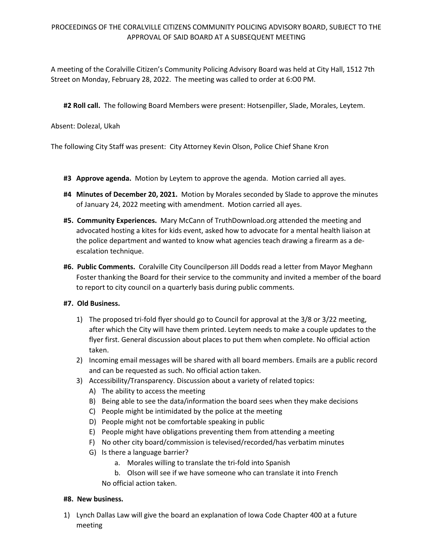## PROCEEDINGS OF THE CORALVILLE CITIZENS COMMUNITY POLICING ADVISORY BOARD, SUBJECT TO THE APPROVAL OF SAID BOARD AT A SUBSEQUENT MEETING

A meeting of the Coralville Citizen's Community Policing Advisory Board was held at City Hall, 1512 7th Street on Monday, February 28, 2022. The meeting was called to order at 6:O0 PM.

**#2 Roll call.** The following Board Members were present: Hotsenpiller, Slade, Morales, Leytem.

Absent: Dolezal, Ukah

The following City Staff was present: City Attorney Kevin Olson, Police Chief Shane Kron

- **#3 Approve agenda.** Motion by Leytem to approve the agenda. Motion carried all ayes.
- **#4 Minutes of December 20, 2021.** Motion by Morales seconded by Slade to approve the minutes of January 24, 2022 meeting with amendment. Motion carried all ayes.
- **#5. Community Experiences.** Mary McCann of TruthDownload.org attended the meeting and advocated hosting a kites for kids event, asked how to advocate for a mental health liaison at the police department and wanted to know what agencies teach drawing a firearm as a deescalation technique.
- **#6. Public Comments.** Coralville City Councilperson Jill Dodds read a letter from Mayor Meghann Foster thanking the Board for their service to the community and invited a member of the board to report to city council on a quarterly basis during public comments.

## **#7. Old Business.**

- 1) The proposed tri-fold flyer should go to Council for approval at the 3/8 or 3/22 meeting, after which the City will have them printed. Leytem needs to make a couple updates to the flyer first. General discussion about places to put them when complete. No official action taken.
- 2) Incoming email messages will be shared with all board members. Emails are a public record and can be requested as such. No official action taken.
- 3) Accessibility/Transparency. Discussion about a variety of related topics:
	- A) The ability to access the meeting
	- B) Being able to see the data/information the board sees when they make decisions
	- C) People might be intimidated by the police at the meeting
	- D) People might not be comfortable speaking in public
	- E) People might have obligations preventing them from attending a meeting
	- F) No other city board/commission is televised/recorded/has verbatim minutes
	- G) Is there a language barrier?
		- a. Morales willing to translate the tri-fold into Spanish

b. Olson will see if we have someone who can translate it into French No official action taken.

## **#8. New business.**

1) Lynch Dallas Law will give the board an explanation of Iowa Code Chapter 400 at a future meeting